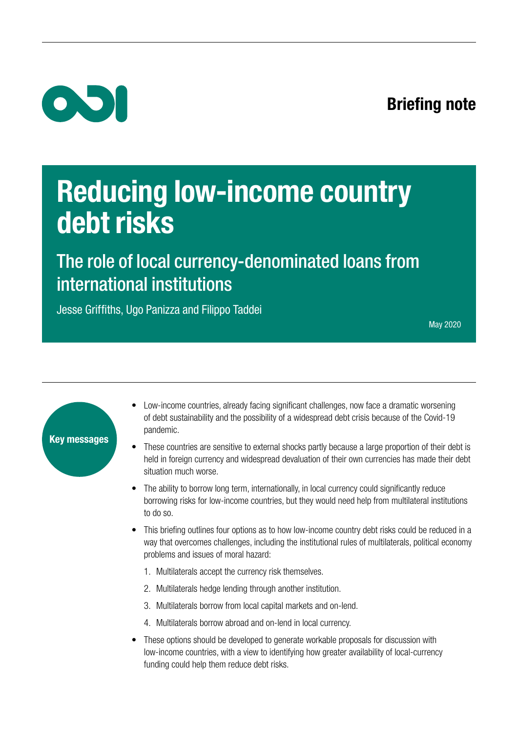## Briefing note



# Reducing low-income country debt risks

The role of local currency-denominated loans from international institutions

Jesse Griffiths, Ugo Panizza and Filippo Taddei

May 2020



- Low-income countries, already facing significant challenges, now face a dramatic worsening of debt sustainability and the possibility of a widespread debt crisis because of the Covid-19 pandemic.
- These countries are sensitive to external shocks partly because a large proportion of their debt is held in foreign currency and widespread devaluation of their own currencies has made their debt situation much worse.
- The ability to borrow long term, internationally, in local currency could significantly reduce borrowing risks for low-income countries, but they would need help from multilateral institutions to do so.
- This briefing outlines four options as to how low-income country debt risks could be reduced in a way that overcomes challenges, including the institutional rules of multilaterals, political economy problems and issues of moral hazard:
	- 1. Multilaterals accept the currency risk themselves.
	- 2. Multilaterals hedge lending through another institution.
	- 3. Multilaterals borrow from local capital markets and on-lend.
	- 4. Multilaterals borrow abroad and on-lend in local currency.
- These options should be developed to generate workable proposals for discussion with low-income countries, with a view to identifying how greater availability of local-currency funding could help them reduce debt risks.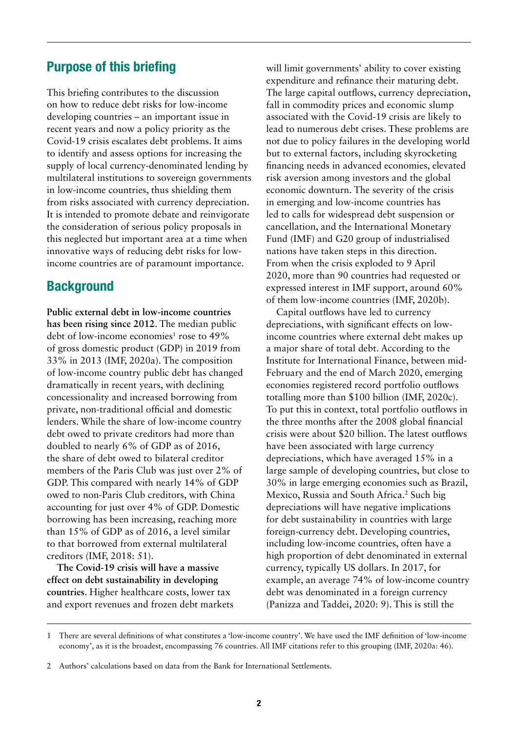## Purpose of this briefing

This briefing contributes to the discussion on how to reduce debt risks for low-income developing countries – an important issue in recent years and now a policy priority as the Covid-19 crisis escalates debt problems. It aims to identify and assess options for increasing the supply of local currency-denominated lending by multilateral institutions to sovereign governments in low-income countries, thus shielding them from risks associated with currency depreciation. It is intended to promote debate and reinvigorate the consideration of serious policy proposals in this neglected but important area at a time when innovative ways of reducing debt risks for lowincome countries are of paramount importance.

## **Background**

**Public external debt in low-income countries has been rising since 2012**. The median public debt of low-income economies<sup>1</sup> rose to 49% of gross domestic product (GDP) in 2019 from 33% in 2013 (IMF, 2020a). The composition of low-income country public debt has changed dramatically in recent years, with declining concessionality and increased borrowing from private, non-traditional official and domestic lenders. While the share of low-income country debt owed to private creditors had more than doubled to nearly 6% of GDP as of 2016, the share of debt owed to bilateral creditor members of the Paris Club was just over 2% of GDP. This compared with nearly 14% of GDP owed to non-Paris Club creditors, with China accounting for just over 4% of GDP. Domestic borrowing has been increasing, reaching more than 15% of GDP as of 2016, a level similar to that borrowed from external multilateral creditors (IMF, 2018: 51).

**The Covid-19 crisis will have a massive effect on debt sustainability in developing countries**. Higher healthcare costs, lower tax and export revenues and frozen debt markets will limit governments' ability to cover existing expenditure and refinance their maturing debt. The large capital outflows, currency depreciation, fall in commodity prices and economic slump associated with the Covid-19 crisis are likely to lead to numerous debt crises. These problems are not due to policy failures in the developing world but to external factors, including skyrocketing financing needs in advanced economies, elevated risk aversion among investors and the global economic downturn. The severity of the crisis in emerging and low-income countries has led to calls for widespread debt suspension or cancellation, and the International Monetary Fund (IMF) and G20 group of industrialised nations have taken steps in this direction. From when the crisis exploded to 9 April 2020, more than 90 countries had requested or expressed interest in IMF support, around 60% of them low-income countries (IMF, 2020b).

Capital outflows have led to currency depreciations, with significant effects on lowincome countries where external debt makes up a major share of total debt. According to the Institute for International Finance, between mid-February and the end of March 2020, emerging economies registered record portfolio outflows totalling more than \$100 billion (IMF, 2020c). To put this in context, total portfolio outflows in the three months after the 2008 global financial crisis were about \$20 billion. The latest outflows have been associated with large currency depreciations, which have averaged 15% in a large sample of developing countries, but close to 30% in large emerging economies such as Brazil, Mexico, Russia and South Africa.<sup>2</sup> Such big depreciations will have negative implications for debt sustainability in countries with large foreign-currency debt. Developing countries, including low-income countries, often have a high proportion of debt denominated in external currency, typically US dollars. In 2017, for example, an average 74% of low-income country debt was denominated in a foreign currency (Panizza and Taddei, 2020: 9). This is still the

<sup>1</sup> There are several definitions of what constitutes a 'low-income country'. We have used the IMF definition of 'low-income economy', as it is the broadest, encompassing 76 countries. All IMF citations refer to this grouping (IMF, 2020a: 46).

<sup>2</sup> Authors' calculations based on data from the Bank for International Settlements.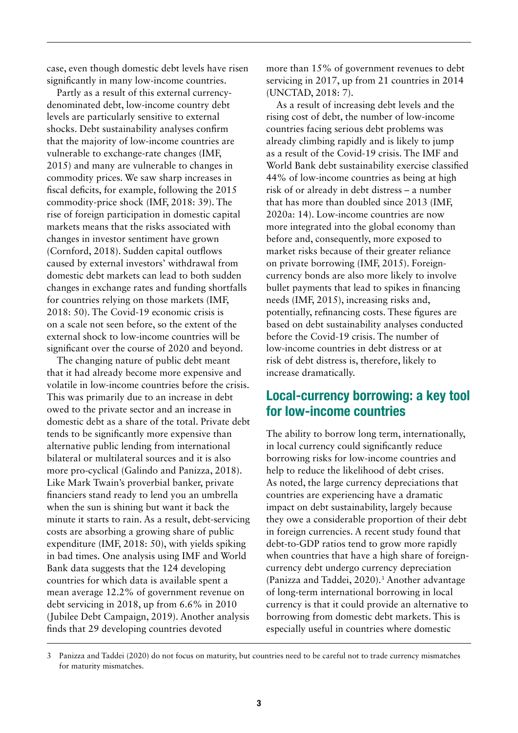case, even though domestic debt levels have risen significantly in many low-income countries.

Partly as a result of this external currencydenominated debt, low-income country debt levels are particularly sensitive to external shocks. Debt sustainability analyses confirm that the majority of low-income countries are vulnerable to exchange-rate changes (IMF, 2015) and many are vulnerable to changes in commodity prices. We saw sharp increases in fiscal deficits, for example, following the 2015 commodity-price shock (IMF, 2018: 39). The rise of foreign participation in domestic capital markets means that the risks associated with changes in investor sentiment have grown (Cornford, 2018). Sudden capital outflows caused by external investors' withdrawal from domestic debt markets can lead to both sudden changes in exchange rates and funding shortfalls for countries relying on those markets (IMF, 2018: 50). The Covid-19 economic crisis is on a scale not seen before, so the extent of the external shock to low-income countries will be significant over the course of 2020 and beyond.

The changing nature of public debt meant that it had already become more expensive and volatile in low-income countries before the crisis. This was primarily due to an increase in debt owed to the private sector and an increase in domestic debt as a share of the total. Private debt tends to be significantly more expensive than alternative public lending from international bilateral or multilateral sources and it is also more pro-cyclical (Galindo and Panizza, 2018). Like Mark Twain's proverbial banker, private financiers stand ready to lend you an umbrella when the sun is shining but want it back the minute it starts to rain. As a result, debt-servicing costs are absorbing a growing share of public expenditure (IMF, 2018: 50), with yields spiking in bad times. One analysis using IMF and World Bank data suggests that the 124 developing countries for which data is available spent a mean average 12.2% of government revenue on debt servicing in 2018, up from 6.6% in 2010 (Jubilee Debt Campaign, 2019). Another analysis finds that 29 developing countries devoted

more than 15% of government revenues to debt servicing in 2017, up from 21 countries in 2014 (UNCTAD, 2018: 7).

As a result of increasing debt levels and the rising cost of debt, the number of low-income countries facing serious debt problems was already climbing rapidly and is likely to jump as a result of the Covid-19 crisis. The IMF and World Bank debt sustainability exercise classified 44% of low-income countries as being at high risk of or already in debt distress – a number that has more than doubled since 2013 (IMF, 2020a: 14). Low-income countries are now more integrated into the global economy than before and, consequently, more exposed to market risks because of their greater reliance on private borrowing (IMF, 2015). Foreigncurrency bonds are also more likely to involve bullet payments that lead to spikes in financing needs (IMF, 2015), increasing risks and, potentially, refinancing costs. These figures are based on debt sustainability analyses conducted before the Covid-19 crisis. The number of low-income countries in debt distress or at risk of debt distress is, therefore, likely to increase dramatically.

## Local-currency borrowing: a key tool for low-income countries

The ability to borrow long term, internationally, in local currency could significantly reduce borrowing risks for low-income countries and help to reduce the likelihood of debt crises. As noted, the large currency depreciations that countries are experiencing have a dramatic impact on debt sustainability, largely because they owe a considerable proportion of their debt in foreign currencies. A recent study found that debt-to-GDP ratios tend to grow more rapidly when countries that have a high share of foreigncurrency debt undergo currency depreciation (Panizza and Taddei, 2020).<sup>3</sup> Another advantage of long-term international borrowing in local currency is that it could provide an alternative to borrowing from domestic debt markets. This is especially useful in countries where domestic

<sup>3</sup> Panizza and Taddei (2020) do not focus on maturity, but countries need to be careful not to trade currency mismatches for maturity mismatches.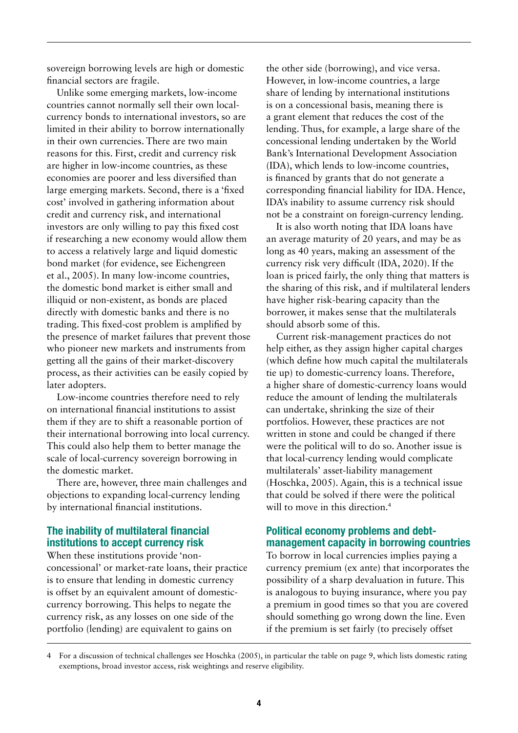sovereign borrowing levels are high or domestic financial sectors are fragile.

Unlike some emerging markets, low-income countries cannot normally sell their own localcurrency bonds to international investors, so are limited in their ability to borrow internationally in their own currencies. There are two main reasons for this. First, credit and currency risk are higher in low-income countries, as these economies are poorer and less diversified than large emerging markets. Second, there is a 'fixed cost' involved in gathering information about credit and currency risk, and international investors are only willing to pay this fixed cost if researching a new economy would allow them to access a relatively large and liquid domestic bond market (for evidence, see Eichengreen et al., 2005). In many low-income countries, the domestic bond market is either small and illiquid or non-existent, as bonds are placed directly with domestic banks and there is no trading. This fixed-cost problem is amplified by the presence of market failures that prevent those who pioneer new markets and instruments from getting all the gains of their market-discovery process, as their activities can be easily copied by later adopters.

Low-income countries therefore need to rely on international financial institutions to assist them if they are to shift a reasonable portion of their international borrowing into local currency. This could also help them to better manage the scale of local-currency sovereign borrowing in the domestic market.

There are, however, three main challenges and objections to expanding local-currency lending by international financial institutions.

#### The inability of multilateral financial institutions to accept currency risk

When these institutions provide 'nonconcessional' or market-rate loans, their practice is to ensure that lending in domestic currency is offset by an equivalent amount of domesticcurrency borrowing. This helps to negate the currency risk, as any losses on one side of the portfolio (lending) are equivalent to gains on

the other side (borrowing), and vice versa. However, in low-income countries, a large share of lending by international institutions is on a concessional basis, meaning there is a grant element that reduces the cost of the lending. Thus, for example, a large share of the concessional lending undertaken by the World Bank's International Development Association (IDA), which lends to low-income countries, is financed by grants that do not generate a corresponding financial liability for IDA. Hence, IDA's inability to assume currency risk should not be a constraint on foreign-currency lending.

It is also worth noting that IDA loans have an average maturity of 20 years, and may be as long as 40 years, making an assessment of the currency risk very difficult (IDA, 2020). If the loan is priced fairly, the only thing that matters is the sharing of this risk, and if multilateral lenders have higher risk-bearing capacity than the borrower, it makes sense that the multilaterals should absorb some of this.

Current risk-management practices do not help either, as they assign higher capital charges (which define how much capital the multilaterals tie up) to domestic-currency loans. Therefore, a higher share of domestic-currency loans would reduce the amount of lending the multilaterals can undertake, shrinking the size of their portfolios. However, these practices are not written in stone and could be changed if there were the political will to do so. Another issue is that local-currency lending would complicate multilaterals' asset-liability management (Hoschka, 2005). Again, this is a technical issue that could be solved if there were the political will to move in this direction.<sup>4</sup>

#### Political economy problems and debtmanagement capacity in borrowing countries

To borrow in local currencies implies paying a currency premium (ex ante) that incorporates the possibility of a sharp devaluation in future. This is analogous to buying insurance, where you pay a premium in good times so that you are covered should something go wrong down the line. Even if the premium is set fairly (to precisely offset

<sup>4</sup> For a discussion of technical challenges see Hoschka (2005), in particular the table on page 9, which lists domestic rating exemptions, broad investor access, risk weightings and reserve eligibility.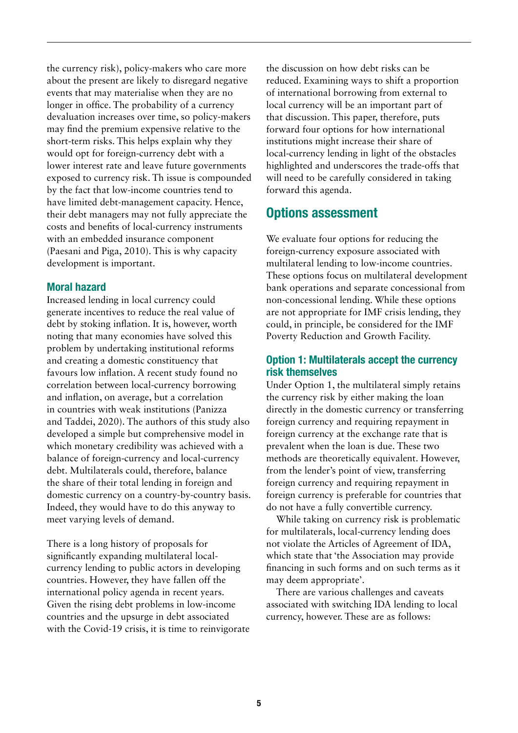the currency risk), policy-makers who care more about the present are likely to disregard negative events that may materialise when they are no longer in office. The probability of a currency devaluation increases over time, so policy-makers may find the premium expensive relative to the short-term risks. This helps explain why they would opt for foreign-currency debt with a lower interest rate and leave future governments exposed to currency risk. Th issue is compounded by the fact that low-income countries tend to have limited debt-management capacity. Hence, their debt managers may not fully appreciate the costs and benefits of local-currency instruments with an embedded insurance component (Paesani and Piga, 2010). This is why capacity development is important.

#### Moral hazard

Increased lending in local currency could generate incentives to reduce the real value of debt by stoking inflation. It is, however, worth noting that many economies have solved this problem by undertaking institutional reforms and creating a domestic constituency that favours low inflation. A recent study found no correlation between local-currency borrowing and inflation, on average, but a correlation in countries with weak institutions (Panizza and Taddei, 2020). The authors of this study also developed a simple but comprehensive model in which monetary credibility was achieved with a balance of foreign-currency and local-currency debt. Multilaterals could, therefore, balance the share of their total lending in foreign and domestic currency on a country-by-country basis. Indeed, they would have to do this anyway to meet varying levels of demand.

There is a long history of proposals for significantly expanding multilateral localcurrency lending to public actors in developing countries. However, they have fallen off the international policy agenda in recent years. Given the rising debt problems in low-income countries and the upsurge in debt associated with the Covid-19 crisis, it is time to reinvigorate the discussion on how debt risks can be reduced. Examining ways to shift a proportion of international borrowing from external to local currency will be an important part of that discussion. This paper, therefore, puts forward four options for how international institutions might increase their share of local-currency lending in light of the obstacles highlighted and underscores the trade-offs that will need to be carefully considered in taking forward this agenda.

## Options assessment

We evaluate four options for reducing the foreign-currency exposure associated with multilateral lending to low-income countries. These options focus on multilateral development bank operations and separate concessional from non-concessional lending. While these options are not appropriate for IMF crisis lending, they could, in principle, be considered for the IMF Poverty Reduction and Growth Facility.

### Option 1: Multilaterals accept the currency risk themselves

Under Option 1, the multilateral simply retains the currency risk by either making the loan directly in the domestic currency or transferring foreign currency and requiring repayment in foreign currency at the exchange rate that is prevalent when the loan is due. These two methods are theoretically equivalent. However, from the lender's point of view, transferring foreign currency and requiring repayment in foreign currency is preferable for countries that do not have a fully convertible currency.

While taking on currency risk is problematic for multilaterals, local-currency lending does not violate the Articles of Agreement of IDA, which state that 'the Association may provide financing in such forms and on such terms as it may deem appropriate'.

There are various challenges and caveats associated with switching IDA lending to local currency, however. These are as follows: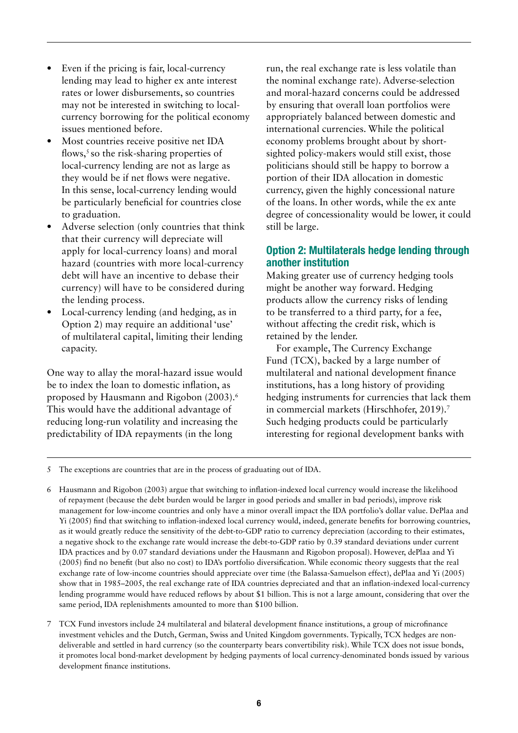- Even if the pricing is fair, local-currency lending may lead to higher ex ante interest rates or lower disbursements, so countries may not be interested in switching to localcurrency borrowing for the political economy issues mentioned before.
- **•** Most countries receive positive net IDA flows,<sup> $5$ </sup> so the risk-sharing properties of local-currency lending are not as large as they would be if net flows were negative. In this sense, local-currency lending would be particularly beneficial for countries close to graduation.
- **•** Adverse selection (only countries that think that their currency will depreciate will apply for local-currency loans) and moral hazard (countries with more local-currency debt will have an incentive to debase their currency) will have to be considered during the lending process.
- **•** Local-currency lending (and hedging, as in Option 2) may require an additional 'use' of multilateral capital, limiting their lending capacity.

One way to allay the moral-hazard issue would be to index the loan to domestic inflation, as proposed by Hausmann and Rigobon (2003).6 This would have the additional advantage of reducing long-run volatility and increasing the predictability of IDA repayments (in the long

run, the real exchange rate is less volatile than the nominal exchange rate). Adverse-selection and moral-hazard concerns could be addressed by ensuring that overall loan portfolios were appropriately balanced between domestic and international currencies. While the political economy problems brought about by shortsighted policy-makers would still exist, those politicians should still be happy to borrow a portion of their IDA allocation in domestic currency, given the highly concessional nature of the loans. In other words, while the ex ante degree of concessionality would be lower, it could still be large.

## Option 2: Multilaterals hedge lending through another institution

Making greater use of currency hedging tools might be another way forward. Hedging products allow the currency risks of lending to be transferred to a third party, for a fee, without affecting the credit risk, which is retained by the lender.

For example, The Currency Exchange Fund (TCX), backed by a large number of multilateral and national development finance institutions, has a long history of providing hedging instruments for currencies that lack them in commercial markets (Hirschhofer, 2019).<sup>7</sup> Such hedging products could be particularly interesting for regional development banks with

5 The exceptions are countries that are in the process of graduating out of IDA.

- 6 Hausmann and Rigobon (2003) argue that switching to inflation-indexed local currency would increase the likelihood of repayment (because the debt burden would be larger in good periods and smaller in bad periods), improve risk management for low-income countries and only have a minor overall impact the IDA portfolio's dollar value. DePlaa and Yi (2005) find that switching to inflation-indexed local currency would, indeed, generate benefits for borrowing countries, as it would greatly reduce the sensitivity of the debt-to-GDP ratio to currency depreciation (according to their estimates, a negative shock to the exchange rate would increase the debt-to-GDP ratio by 0.39 standard deviations under current IDA practices and by 0.07 standard deviations under the Hausmann and Rigobon proposal). However, dePlaa and Yi (2005) find no benefit (but also no cost) to IDA's portfolio diversification. While economic theory suggests that the real exchange rate of low-income countries should appreciate over time (the Balassa-Samuelson effect), dePlaa and Yi (2005) show that in 1985–2005, the real exchange rate of IDA countries depreciated and that an inflation-indexed local-currency lending programme would have reduced reflows by about \$1 billion. This is not a large amount, considering that over the same period, IDA replenishments amounted to more than \$100 billion.
- 7 TCX Fund investors include 24 multilateral and bilateral development finance institutions, a group of microfinance investment vehicles and the Dutch, German, Swiss and United Kingdom governments. Typically, TCX hedges are nondeliverable and settled in hard currency (so the counterparty bears convertibility risk). While TCX does not issue bonds, it promotes local bond-market development by hedging payments of local currency-denominated bonds issued by various development finance institutions.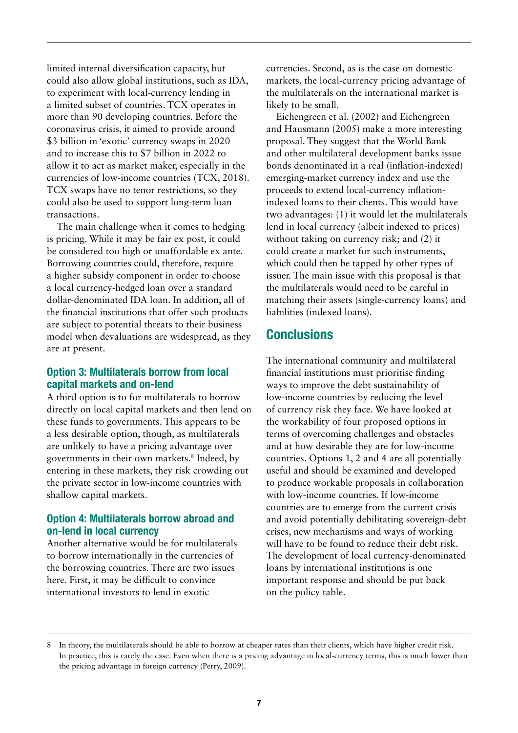limited internal diversification capacity, but could also allow global institutions, such as IDA, to experiment with local-currency lending in a limited subset of countries. TCX operates in more than 90 developing countries. Before the coronavirus crisis, it aimed to provide around \$3 billion in 'exotic' currency swaps in 2020 and to increase this to \$7 billion in 2022 to allow it to act as market maker, especially in the currencies of low-income countries (TCX, 2018). TCX swaps have no tenor restrictions, so they could also be used to support long-term loan transactions.

The main challenge when it comes to hedging is pricing. While it may be fair ex post, it could be considered too high or unaffordable ex ante*.* Borrowing countries could, therefore, require a higher subsidy component in order to choose a local currency-hedged loan over a standard dollar-denominated IDA loan. In addition, all of the financial institutions that offer such products are subject to potential threats to their business model when devaluations are widespread, as they are at present.

#### Option 3: Multilaterals borrow from local capital markets and on-lend

A third option is to for multilaterals to borrow directly on local capital markets and then lend on these funds to governments. This appears to be a less desirable option, though, as multilaterals are unlikely to have a pricing advantage over governments in their own markets.8 Indeed, by entering in these markets, they risk crowding out the private sector in low-income countries with shallow capital markets.

#### Option 4: Multilaterals borrow abroad and on-lend in local currency

Another alternative would be for multilaterals to borrow internationally in the currencies of the borrowing countries. There are two issues here. First, it may be difficult to convince international investors to lend in exotic

currencies. Second, as is the case on domestic markets, the local-currency pricing advantage of the multilaterals on the international market is likely to be small.

Eichengreen et al. (2002) and Eichengreen and Hausmann (2005) make a more interesting proposal. They suggest that the World Bank and other multilateral development banks issue bonds denominated in a real (inflation-indexed) emerging-market currency index and use the proceeds to extend local-currency inflationindexed loans to their clients. This would have two advantages: (1) it would let the multilaterals lend in local currency (albeit indexed to prices) without taking on currency risk; and (2) it could create a market for such instruments, which could then be tapped by other types of issuer. The main issue with this proposal is that the multilaterals would need to be careful in matching their assets (single-currency loans) and liabilities (indexed loans).

## **Conclusions**

The international community and multilateral financial institutions must prioritise finding ways to improve the debt sustainability of low-income countries by reducing the level of currency risk they face. We have looked at the workability of four proposed options in terms of overcoming challenges and obstacles and at how desirable they are for low-income countries. Options 1, 2 and 4 are all potentially useful and should be examined and developed to produce workable proposals in collaboration with low-income countries. If low-income countries are to emerge from the current crisis and avoid potentially debilitating sovereign-debt crises, new mechanisms and ways of working will have to be found to reduce their debt risk. The development of local currency-denominated loans by international institutions is one important response and should be put back on the policy table.

In theory, the multilaterals should be able to borrow at cheaper rates than their clients, which have higher credit risk. In practice, this is rarely the case. Even when there is a pricing advantage in local-currency terms, this is much lower than the pricing advantage in foreign currency (Perry, 2009).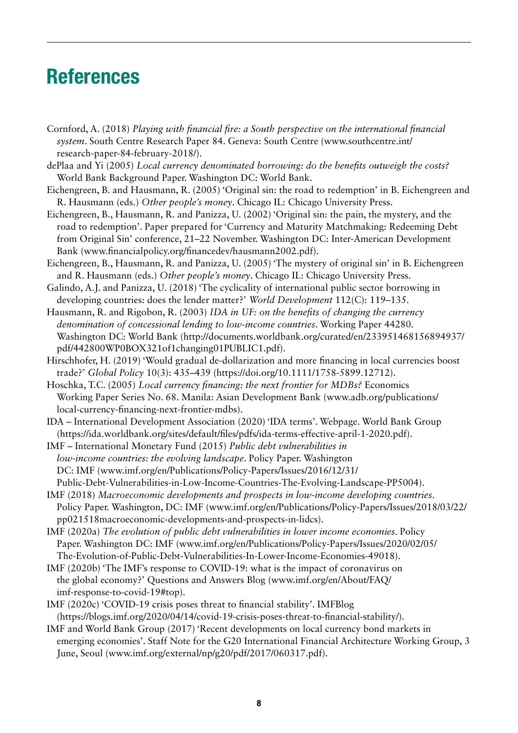# References

- Cornford, A. (2018) *Playing with financial fire: a South perspective on the international financial system*. South Centre Research Paper 84. Geneva: South Centre ([www.southcentre.int/](https://www.southcentre.int/research-paper-84-february-2018/) [research-paper-84-february-2018/](https://www.southcentre.int/research-paper-84-february-2018/)).
- dePlaa and Yi (2005) *Local currency denominated borrowing: do the benefits outweigh the costs?* World Bank Background Paper. Washington DC: World Bank.
- Eichengreen, B. and Hausmann, R. (2005) 'Original sin: the road to redemption' in B. Eichengreen and R. Hausmann (eds.) *Other people's money*. Chicago IL: Chicago University Press.
- Eichengreen, B., Hausmann, R. and Panizza, U. (2002) 'Original sin: the pain, the mystery, and the road to redemption'. Paper prepared for 'Currency and Maturity Matchmaking: Redeeming Debt from Original Sin' conference, 21–22 November. Washington DC: Inter-American Development Bank (www.financialpolicy.org/financedev/hausmann2002.pdf).
- Eichengreen, B., Hausmann, R. and Panizza, U. (2005) 'The mystery of original sin' in B. Eichengreen and R. Hausmann (eds.) *Other people's money*. Chicago IL: Chicago University Press.
- Galindo, A.J. and Panizza, U. (2018) 'The cyclicality of international public sector borrowing in developing countries: does the lender matter?' *World Development* 112(C): 119–135.
- Hausmann, R. and Rigobon, R. (2003) *IDA in UF: on the benefits of changing the currency denomination of concessional lending to low-income countries*. Working Paper 44280. Washington DC: World Bank (http://documents.worldbank.org/curated/en/233951468156894937/ pdf/442800WP0BOX321of1changing01PUBLIC1.pdf).
- Hirschhofer, H. (2019) 'Would gradual de-dollarization and more financing in local currencies boost trade?' *Global Policy* 10(3): 435–439 (https://doi.org/10.1111/1758-5899.12712).
- Hoschka, T.C. (2005) *Local currency financing: the next frontier for MDBs?* Economics Working Paper Series No. 68. Manila: Asian Development Bank ([www.adb.org/publications/](https://www.adb.org/publications/local-currency-financing-next-frontier-mdbs) [local-currency-financing-next-frontier-mdbs\)](https://www.adb.org/publications/local-currency-financing-next-frontier-mdbs).
- IDA International Development Association (2020) 'IDA terms'. Webpage. World Bank Group (https://ida.worldbank.org/sites/default/files/pdfs/ida-terms-effective-april-1-2020.pdf).
- IMF International Monetary Fund (2015) *Public debt vulnerabilities in low-income countries: the evolving landscape*. Policy Paper. Washington DC: IMF (www.imf.org/en/Publications/Policy-Papers/Issues/2016/12/31/ Public-Debt-Vulnerabilities-in-Low-Income-Countries-The-Evolving-Landscape-PP5004).
- IMF (2018) *Macroeconomic developments and prospects in low-income developing countries*. Policy Paper. Washington, DC: IMF (www.imf.org/en/Publications/Policy-Papers/Issues/2018/03/22/ pp021518macroeconomic-developments-and-prospects-in-lidcs).
- IMF (2020a) *The evolution of public debt vulnerabilities in lower income economies*. Policy Paper. Washington DC: IMF (www.imf.org/en/Publications/Policy-Papers/Issues/2020/02/05/ The-Evolution-of-Public-Debt-Vulnerabilities-In-Lower-Income-Economies-49018).
- IMF (2020b) 'The IMF's response to COVID-19: what is the impact of coronavirus on the global economy?' Questions and Answers Blog (www.imf.org/en/About/FAQ/ imf-response-to-covid-19#top).
- IMF (2020c) 'COVID-19 crisis poses threat to financial stability'. IMFBlog (https://blogs.imf.org/2020/04/14/covid-19-crisis-poses-threat-to-financial-stability/).
- IMF and World Bank Group (2017) 'Recent developments on local currency bond markets in emerging economies'. Staff Note for the G20 International Financial Architecture Working Group, 3 June, Seoul (www.imf.org/external/np/g20/pdf/2017/060317.pdf).